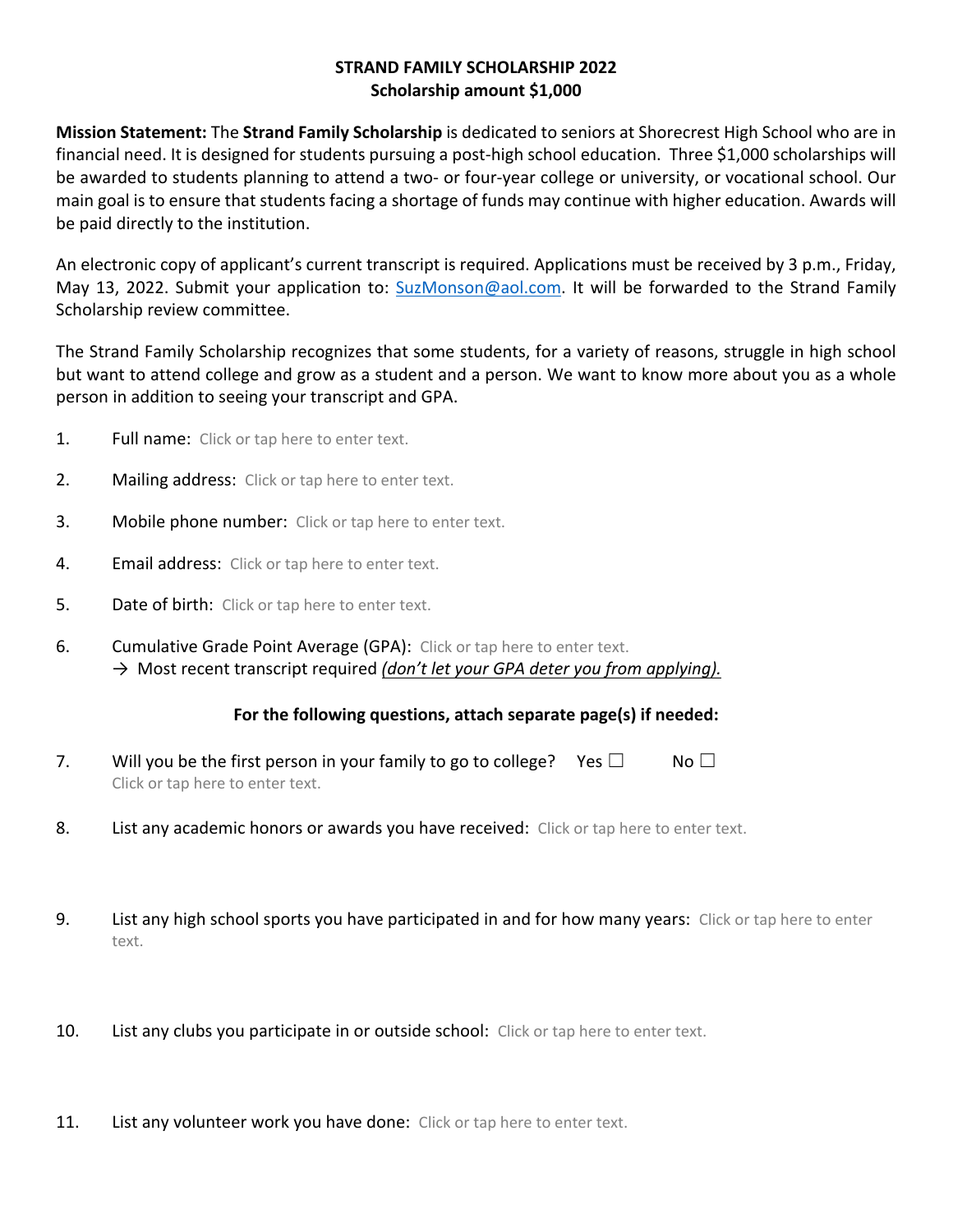## **STRAND FAMILY SCHOLARSHIP 2022 Scholarship amount \$1,000**

**Mission Statement:** The **Strand Family Scholarship** is dedicated to seniors at Shorecrest High School who are in financial need. It is designed for students pursuing a post-high school education. Three \$1,000 scholarships will be awarded to students planning to attend a two- or four-year college or university, or vocational school. Our main goal is to ensure that students facing a shortage of funds may continue with higher education. Awards will be paid directly to the institution.

An electronic copy of applicant's current transcript is required. Applications must be received by 3 p.m., Friday, May 13, 2022. Submit your application to: SuzMonson@aol.com. It will be forwarded to the Strand Family Scholarship review committee.

The Strand Family Scholarship recognizes that some students, for a variety of reasons, struggle in high school but want to attend college and grow as a student and a person. We want to know more about you as a whole person in addition to seeing your transcript and GPA.

- 1. Full name: Click or tap here to enter text.
- 2. Mailing address: Click or tap here to enter text.
- **3.** Mobile phone number: Click or tap here to enter text.
- 4. Email address: Click or tap here to enter text.
- **5.** Date of birth: Click or tap here to enter text.
- 6. Cumulative Grade Point Average (GPA): Click or tap here to enter text. → Most recent transcript required *(don't let your GPA deter you from applying).*

## **For the following questions, attach separate page(s) if needed:**

- 7. Will you be the first person in your family to go to college? Yes  $\Box$  No  $\Box$ Click or tap here to enter text.
- 8. List any academic honors or awards you have received: Click or tap here to enter text.
- 9. List any high school sports you have participated in and for how many years: Click or tap here to enter text.
- 10. List any clubs you participate in or outside school: Click or tap here to enter text.
- 11. List any volunteer work you have done: Click or tap here to enter text.